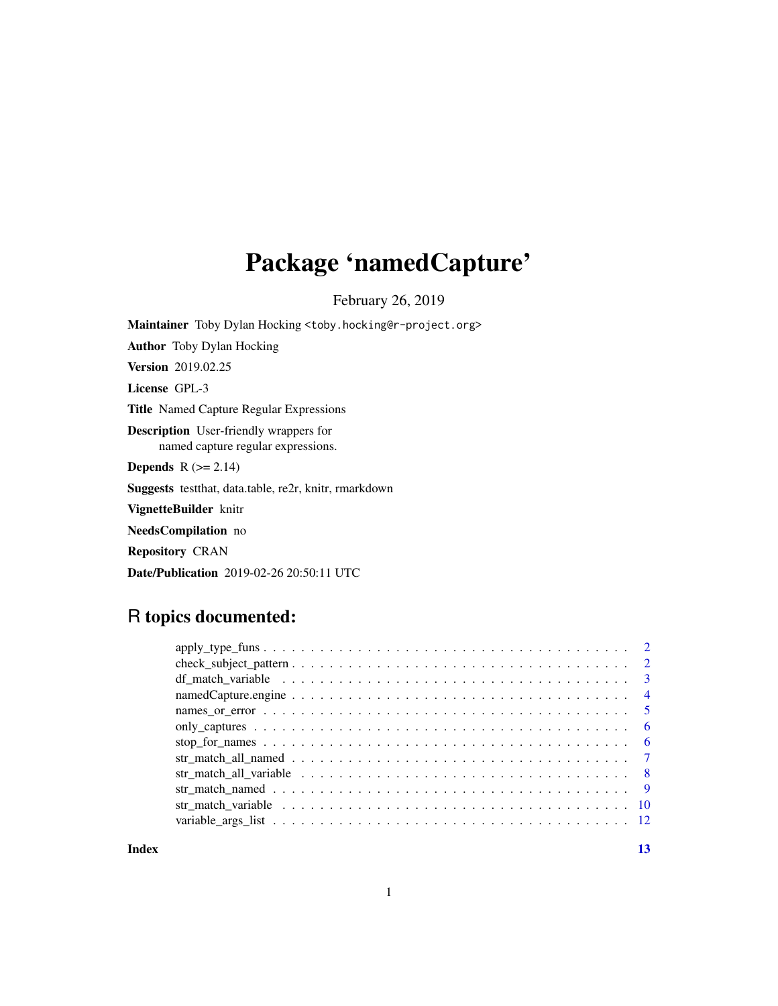# Package 'namedCapture'

February 26, 2019

Maintainer Toby Dylan Hocking <toby.hocking@r-project.org>

Author Toby Dylan Hocking Version 2019.02.25 License GPL-3 Title Named Capture Regular Expressions Description User-friendly wrappers for named capture regular expressions. **Depends**  $R$  ( $>= 2.14$ ) Suggests testthat, data.table, re2r, knitr, rmarkdown VignetteBuilder knitr NeedsCompilation no Repository CRAN

Date/Publication 2019-02-26 20:50:11 UTC

# R topics documented:

**Index** [13](#page-12-0)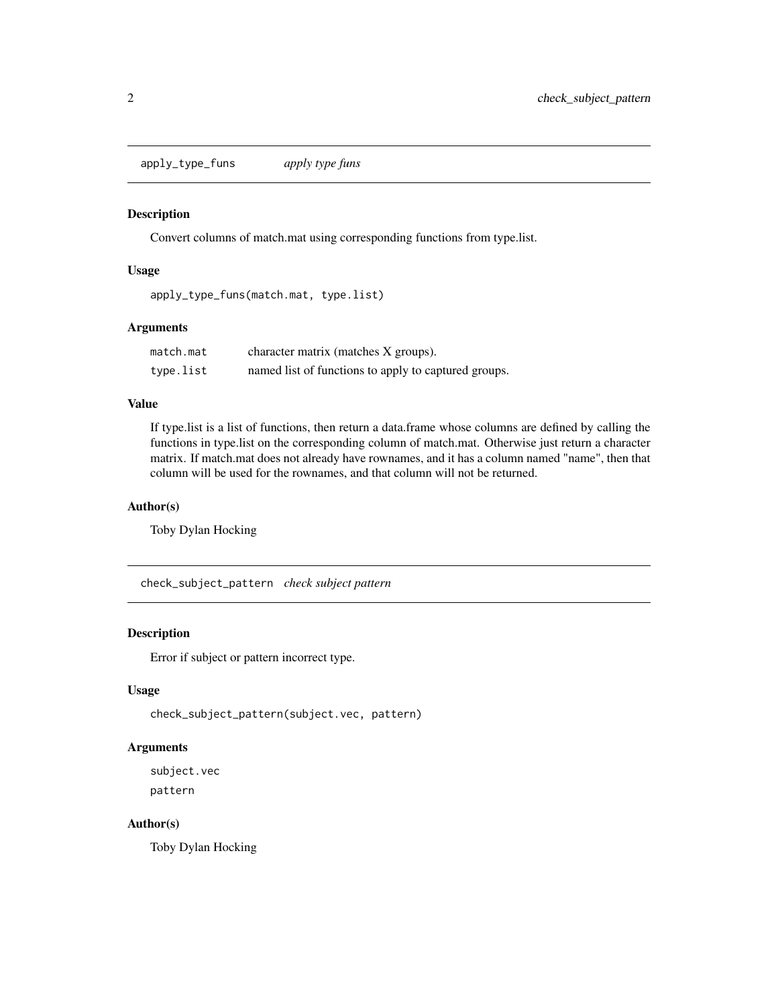<span id="page-1-0"></span>apply\_type\_funs *apply type funs*

#### Description

Convert columns of match.mat using corresponding functions from type.list.

### Usage

apply\_type\_funs(match.mat, type.list)

### Arguments

| match.mat | character matrix (matches X groups).                 |
|-----------|------------------------------------------------------|
| type.list | named list of functions to apply to captured groups. |

## Value

If type.list is a list of functions, then return a data.frame whose columns are defined by calling the functions in type.list on the corresponding column of match.mat. Otherwise just return a character matrix. If match.mat does not already have rownames, and it has a column named "name", then that column will be used for the rownames, and that column will not be returned.

#### Author(s)

Toby Dylan Hocking

check\_subject\_pattern *check subject pattern*

#### Description

Error if subject or pattern incorrect type.

# Usage

check\_subject\_pattern(subject.vec, pattern)

# Arguments

subject.vec pattern

#### Author(s)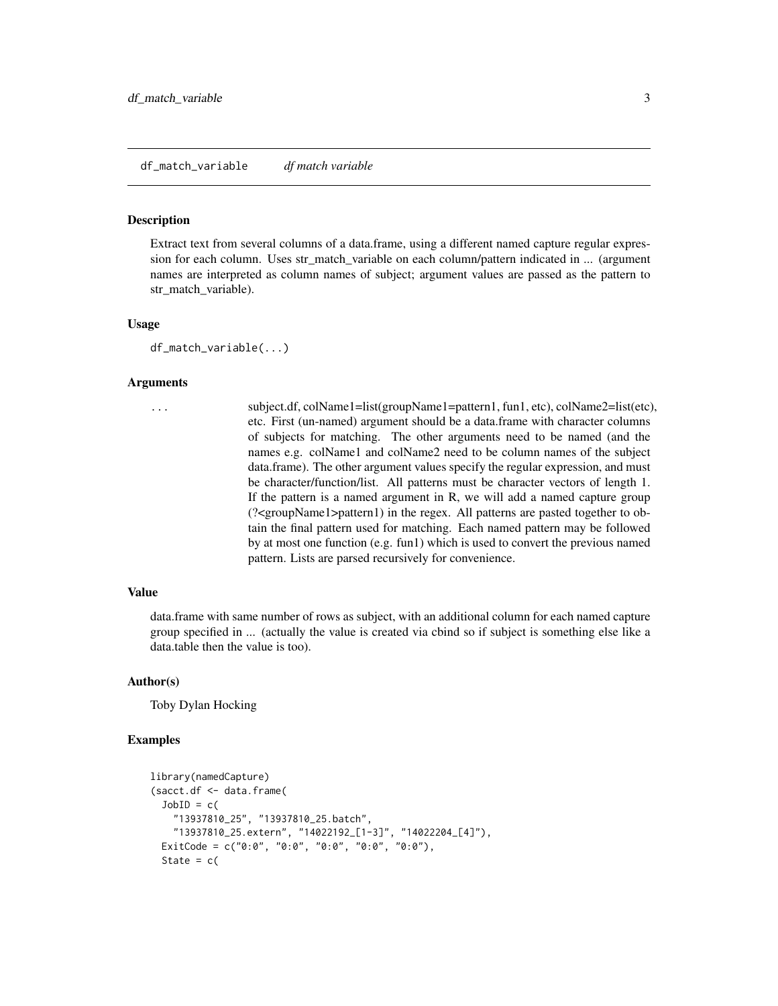#### <span id="page-2-0"></span>Description

Extract text from several columns of a data.frame, using a different named capture regular expression for each column. Uses str\_match\_variable on each column/pattern indicated in ... (argument names are interpreted as column names of subject; argument values are passed as the pattern to str\_match\_variable).

#### Usage

```
df_match_variable(...)
```
#### Arguments

... subject.df, colName1=list(groupName1=pattern1, fun1, etc), colName2=list(etc), etc. First (un-named) argument should be a data.frame with character columns of subjects for matching. The other arguments need to be named (and the names e.g. colName1 and colName2 need to be column names of the subject data.frame). The other argument values specify the regular expression, and must be character/function/list. All patterns must be character vectors of length 1. If the pattern is a named argument in R, we will add a named capture group (?<groupName1>pattern1) in the regex. All patterns are pasted together to obtain the final pattern used for matching. Each named pattern may be followed by at most one function (e.g. fun1) which is used to convert the previous named pattern. Lists are parsed recursively for convenience.

#### Value

data.frame with same number of rows as subject, with an additional column for each named capture group specified in ... (actually the value is created via cbind so if subject is something else like a data.table then the value is too).

# Author(s)

Toby Dylan Hocking

#### Examples

```
library(namedCapture)
(sacct.df <- data.frame(
 JobID = c("13937810_25", "13937810_25.batch",
    "13937810_25.extern", "14022192_[1-3]", "14022204_[4]"),
  ExitCode = c("0:0", "0:0", "0:0", "0:0", "0:0"),
 State = c(
```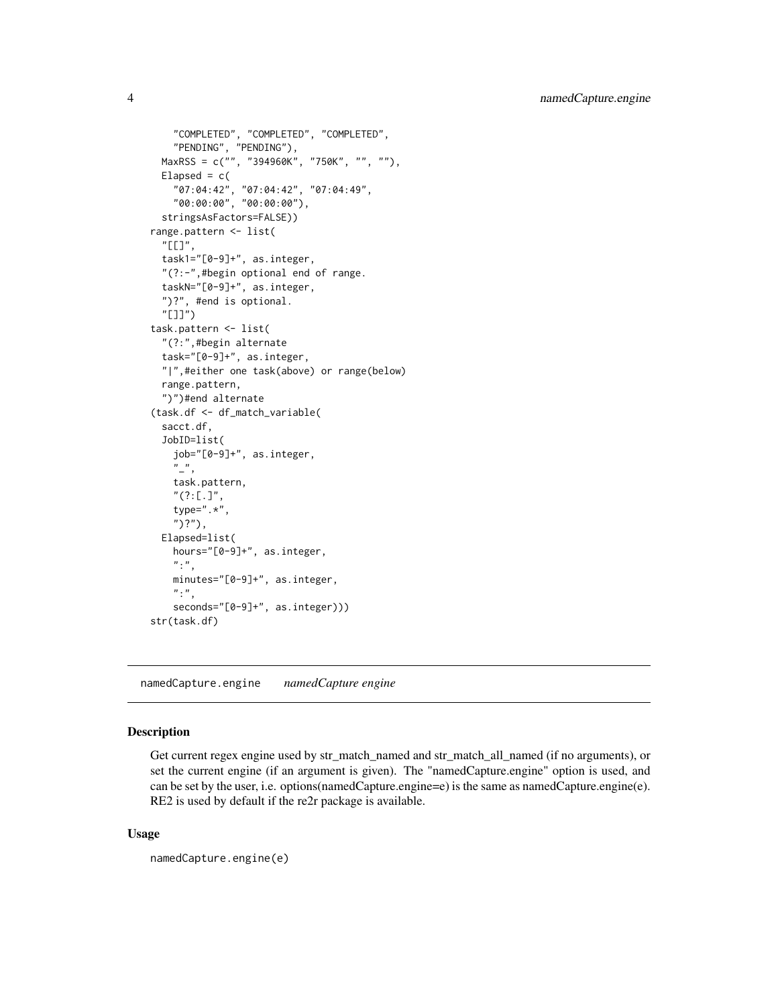```
"COMPLETED", "COMPLETED", "COMPLETED",
    "PENDING", "PENDING"),
 MaxRSS = c("", "394960K", "750K", "", ""),
 Elapsed = c("07:04:42", "07:04:42", "07:04:49",
    "00:00:00", "00:00:00"),
 stringsAsFactors=FALSE))
range.pattern <- list(
 "[[]",
 task1="[0-9]+", as.integer,
  "(?:-",#begin optional end of range.
 taskN="[0-9]+", as.integer,
 ")?", #end is optional.
  "[]]")
task.pattern <- list(
  "(?:",#begin alternate
 task="[0-9]+", as.integer,
 "|",#either one task(above) or range(below)
 range.pattern,
 ")")#end alternate
(task.df <- df_match_variable(
 sacct.df,
 JobID=list(
    job="[0-9]+", as.integer,
    \frac{n}{2},
    task.pattern,
    "(?:[.]",
    type=".*",
    ")?"),
 Elapsed=list(
    hours="[0-9]+", as.integer,
    "\cdot",
    minutes="[0-9]+", as.integer,
    ":",
    seconds="[0-9]+", as.integer)))
str(task.df)
```
namedCapture.engine *namedCapture engine*

# Description

Get current regex engine used by str\_match\_named and str\_match\_all\_named (if no arguments), or set the current engine (if an argument is given). The "namedCapture.engine" option is used, and can be set by the user, i.e. options(namedCapture.engine=e) is the same as namedCapture.engine(e). RE2 is used by default if the re2r package is available.

#### Usage

```
namedCapture.engine(e)
```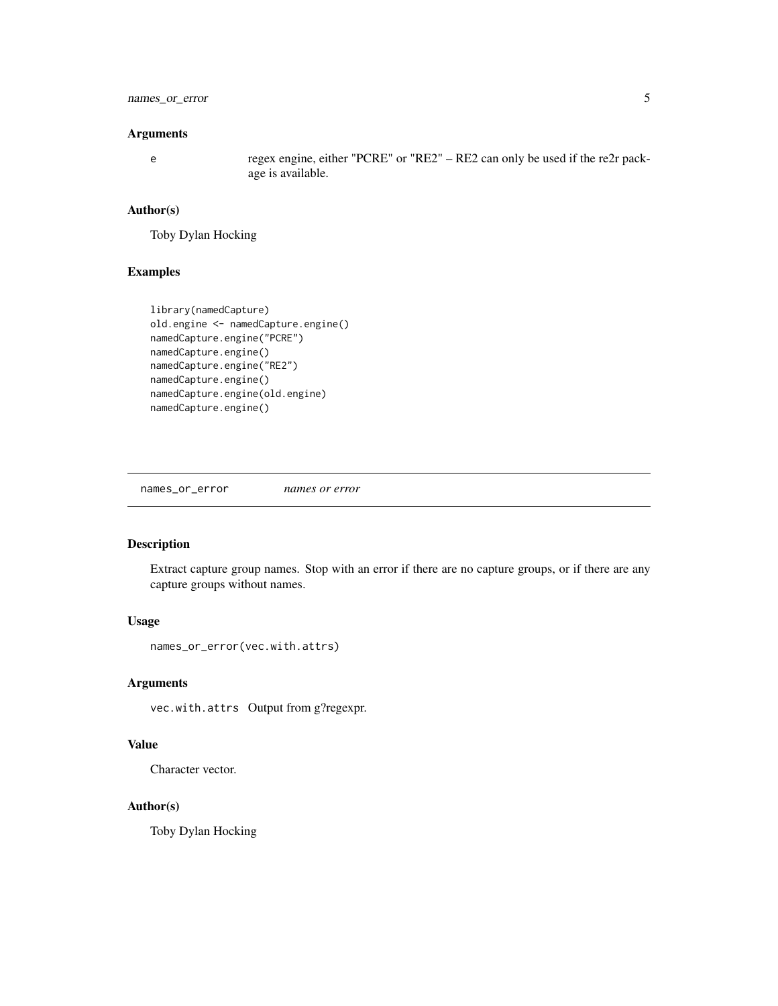# <span id="page-4-0"></span>names\_or\_error 5

#### Arguments

e regex engine, either "PCRE" or "RE2" – RE2 can only be used if the re2r package is available.

#### Author(s)

Toby Dylan Hocking

# Examples

```
library(namedCapture)
old.engine <- namedCapture.engine()
namedCapture.engine("PCRE")
namedCapture.engine()
namedCapture.engine("RE2")
namedCapture.engine()
namedCapture.engine(old.engine)
namedCapture.engine()
```
names\_or\_error *names or error*

# Description

Extract capture group names. Stop with an error if there are no capture groups, or if there are any capture groups without names.

# Usage

```
names_or_error(vec.with.attrs)
```
#### Arguments

vec.with.attrs Output from g?regexpr.

#### Value

Character vector.

#### Author(s)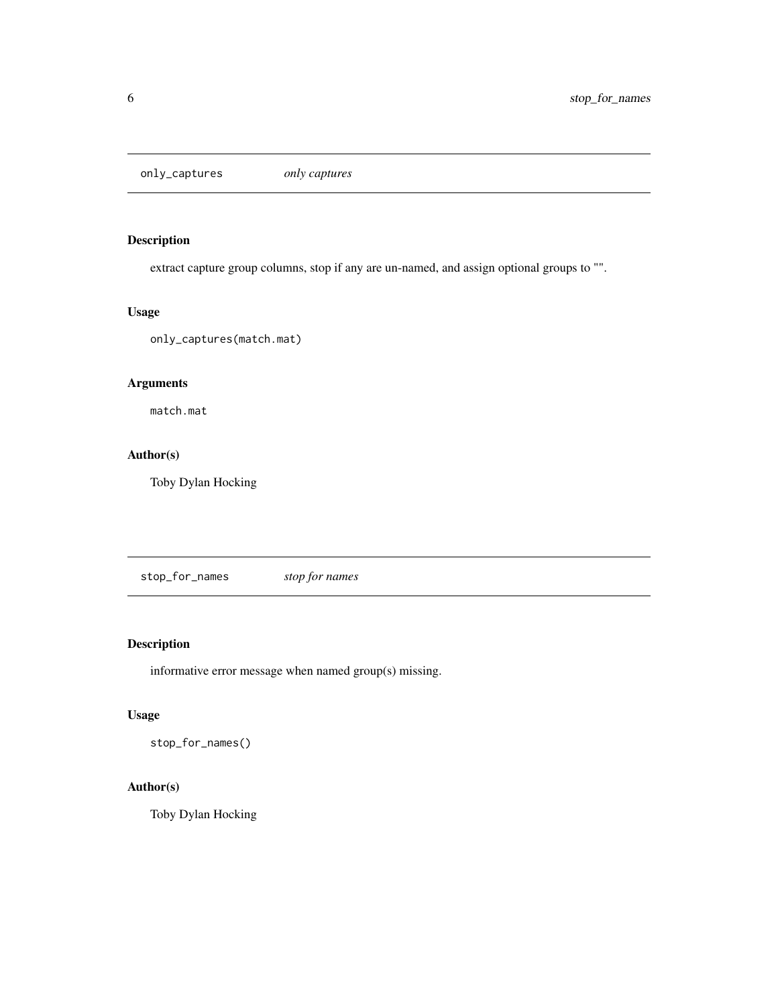<span id="page-5-0"></span>only\_captures *only captures*

# Description

extract capture group columns, stop if any are un-named, and assign optional groups to "".

# Usage

only\_captures(match.mat)

# Arguments

match.mat

# Author(s)

Toby Dylan Hocking

stop\_for\_names *stop for names*

# Description

informative error message when named group(s) missing.

# Usage

stop\_for\_names()

# Author(s)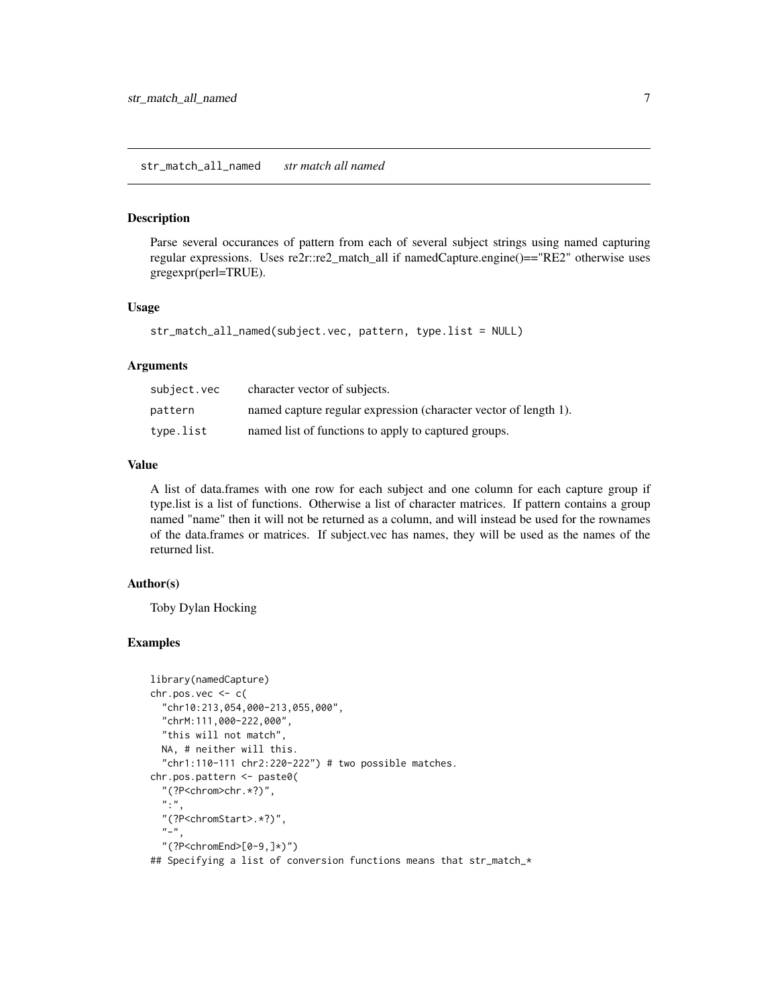#### <span id="page-6-0"></span>str\_match\_all\_named *str match all named*

#### Description

Parse several occurances of pattern from each of several subject strings using named capturing regular expressions. Uses re2r::re2\_match\_all if namedCapture.engine()=="RE2" otherwise uses gregexpr(perl=TRUE).

#### Usage

```
str_match_all_named(subject.vec, pattern, type.list = NULL)
```
#### Arguments

| subject.vec | character vector of subjects.                                    |
|-------------|------------------------------------------------------------------|
| pattern     | named capture regular expression (character vector of length 1). |
| type.list   | named list of functions to apply to captured groups.             |

# Value

A list of data.frames with one row for each subject and one column for each capture group if type.list is a list of functions. Otherwise a list of character matrices. If pattern contains a group named "name" then it will not be returned as a column, and will instead be used for the rownames of the data.frames or matrices. If subject.vec has names, they will be used as the names of the returned list.

#### Author(s)

Toby Dylan Hocking

#### Examples

```
library(namedCapture)
chr.pos.vec \leftarrow c"chr10:213,054,000-213,055,000",
 "chrM:111,000-222,000",
 "this will not match",
 NA, # neither will this.
  "chr1:110-111 chr2:220-222") # two possible matches.
chr.pos.pattern <- paste0(
  "(?P<chrom>chr.*?)",
  ":",
  "(?P<chromStart>.*?)",
  " -",
  "(?P<chromEnd>[0-9,]*)")
## Specifying a list of conversion functions means that str_match_*
```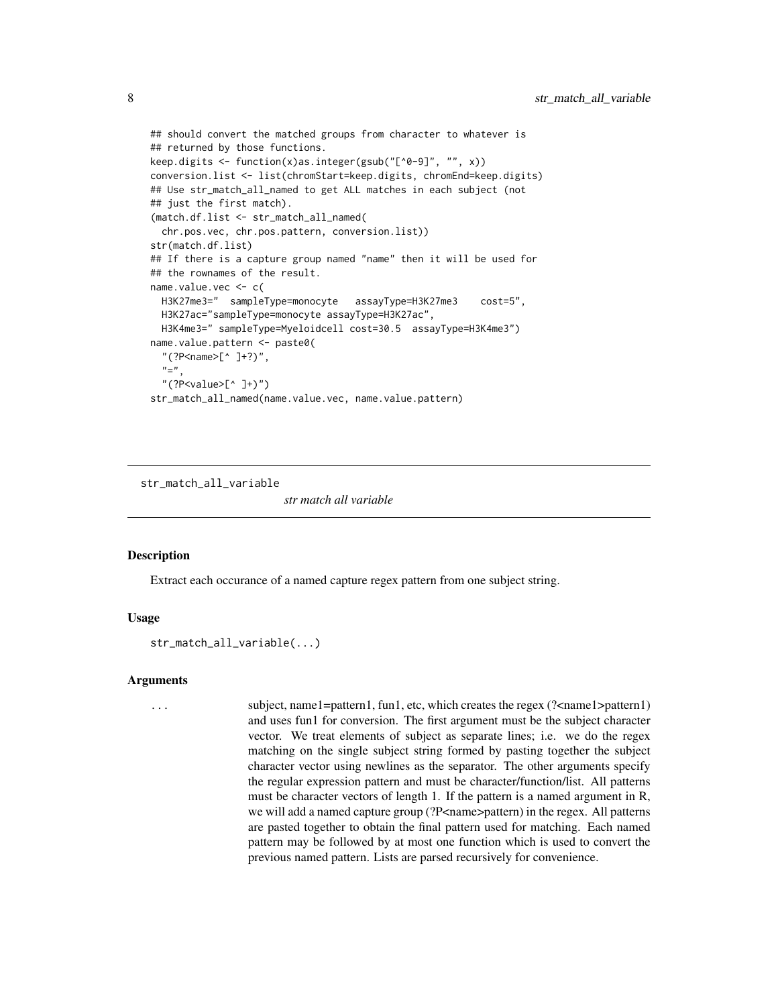```
## should convert the matched groups from character to whatever is
## returned by those functions.
keep.digits <- function(x)as.integer(gsub("[^0-9]", "", x))
conversion.list <- list(chromStart=keep.digits, chromEnd=keep.digits)
## Use str_match_all_named to get ALL matches in each subject (not
## just the first match).
(match.df.list <- str_match_all_named(
 chr.pos.vec, chr.pos.pattern, conversion.list))
str(match.df.list)
## If there is a capture group named "name" then it will be used for
## the rownames of the result.
name.value.vec <- c(
 H3K27me3=" sampleType=monocyte assayType=H3K27me3 cost=5",
 H3K27ac="sampleType=monocyte assayType=H3K27ac",
 H3K4me3=" sampleType=Myeloidcell cost=30.5 assayType=H3K4me3")
name.value.pattern <- paste0(
  "(?P<name>[^ ]+?)",
  "="",
  "(?P<value>[^ ]+)")
str_match_all_named(name.value.vec, name.value.pattern)
```
str\_match\_all\_variable

*str match all variable*

#### **Description**

Extract each occurance of a named capture regex pattern from one subject string.

#### Usage

str\_match\_all\_variable(...)

#### Arguments

... subject, name1=pattern1, fun1, etc, which creates the regex (?<name1>pattern1) and uses fun1 for conversion. The first argument must be the subject character vector. We treat elements of subject as separate lines; i.e. we do the regex matching on the single subject string formed by pasting together the subject character vector using newlines as the separator. The other arguments specify the regular expression pattern and must be character/function/list. All patterns must be character vectors of length 1. If the pattern is a named argument in R, we will add a named capture group (?P<name>pattern) in the regex. All patterns are pasted together to obtain the final pattern used for matching. Each named pattern may be followed by at most one function which is used to convert the previous named pattern. Lists are parsed recursively for convenience.

<span id="page-7-0"></span>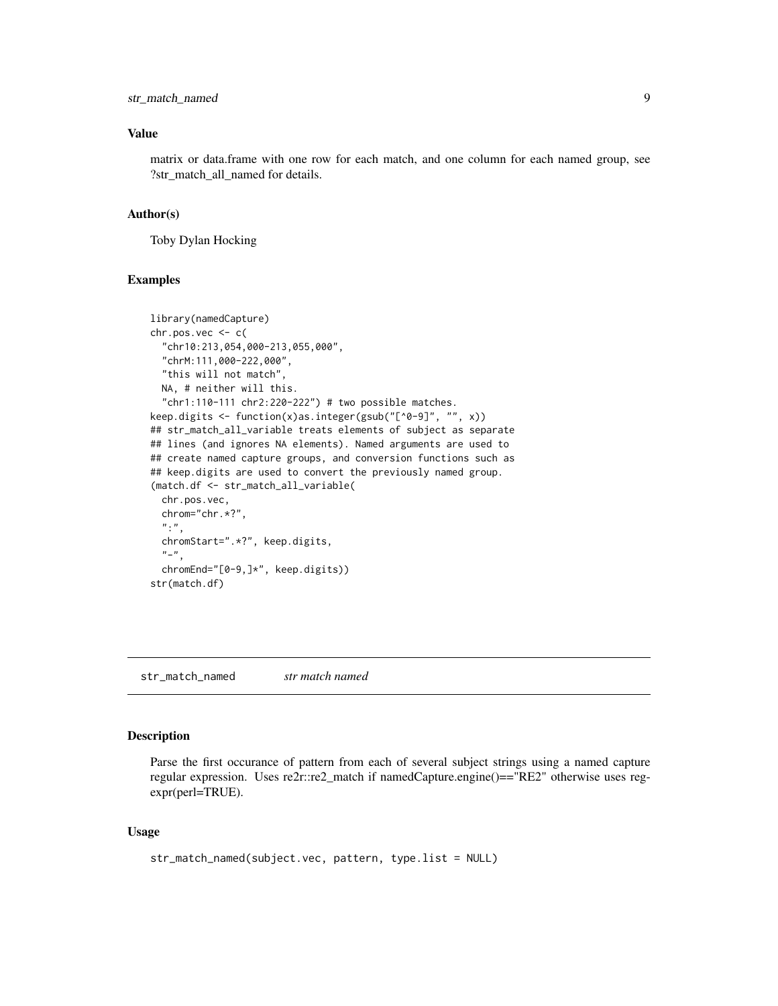#### <span id="page-8-0"></span>Value

matrix or data.frame with one row for each match, and one column for each named group, see ?str\_match\_all\_named for details.

#### Author(s)

Toby Dylan Hocking

#### Examples

```
library(namedCapture)
chr.pos.vec < -c"chr10:213,054,000-213,055,000",
  "chrM:111,000-222,000",
  "this will not match",
  NA, # neither will this.
  "chr1:110-111 chr2:220-222") # two possible matches.
keep.digits <- function(x)as.integer(gsub("[^0-9]", "", x))
## str_match_all_variable treats elements of subject as separate
## lines (and ignores NA elements). Named arguments are used to
## create named capture groups, and conversion functions such as
## keep.digits are used to convert the previously named group.
(match.df <- str_match_all_variable(
  chr.pos.vec,
  chrom="chr.*?",
  ":",
  chromStart=".*?", keep.digits,
  "-",
  chromEnd="[0-9,]*", keep.digits))
str(match.df)
```
str\_match\_named *str match named*

#### Description

Parse the first occurance of pattern from each of several subject strings using a named capture regular expression. Uses re2r::re2\_match if namedCapture.engine()=="RE2" otherwise uses regexpr(perl=TRUE).

#### Usage

```
str_match_named(subject.vec, pattern, type.list = NULL)
```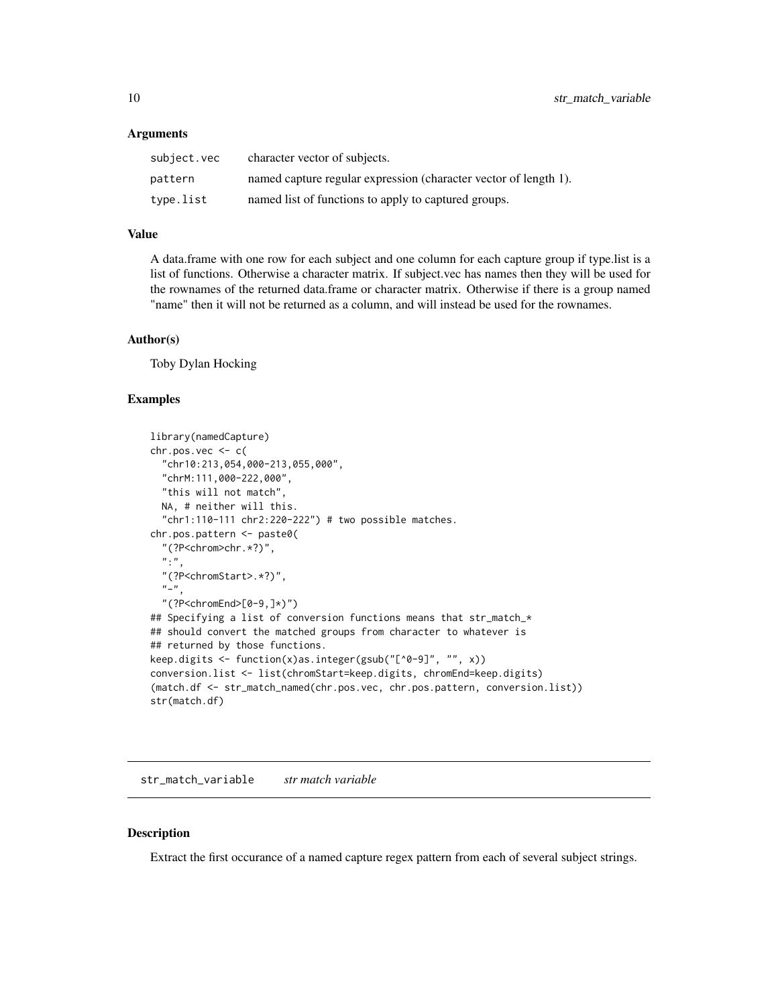#### <span id="page-9-0"></span>**Arguments**

| subject.vec | character vector of subjects.                                    |
|-------------|------------------------------------------------------------------|
| pattern     | named capture regular expression (character vector of length 1). |
| type.list   | named list of functions to apply to captured groups.             |

#### Value

A data.frame with one row for each subject and one column for each capture group if type.list is a list of functions. Otherwise a character matrix. If subject.vec has names then they will be used for the rownames of the returned data.frame or character matrix. Otherwise if there is a group named "name" then it will not be returned as a column, and will instead be used for the rownames.

#### Author(s)

Toby Dylan Hocking

#### Examples

```
library(namedCapture)
chr.pos.vec \leftarrow c"chr10:213,054,000-213,055,000",
 "chrM:111,000-222,000",
 "this will not match",
 NA, # neither will this.
  "chr1:110-111 chr2:220-222") # two possible matches.
chr.pos.pattern <- paste0(
  "(?P<chrom>chr.*?)",
 ":",
 "(?P<chromStart>.*?)",
 "-",
  "(?P<chromEnd>[0-9,]*)")
## Specifying a list of conversion functions means that str_match_*
## should convert the matched groups from character to whatever is
## returned by those functions.
keep.digits <- function(x)as.integer(gsub("[^0-9]", "", x))
conversion.list <- list(chromStart=keep.digits, chromEnd=keep.digits)
(match.df <- str_match_named(chr.pos.vec, chr.pos.pattern, conversion.list))
str(match.df)
```
str\_match\_variable *str match variable*

### **Description**

Extract the first occurance of a named capture regex pattern from each of several subject strings.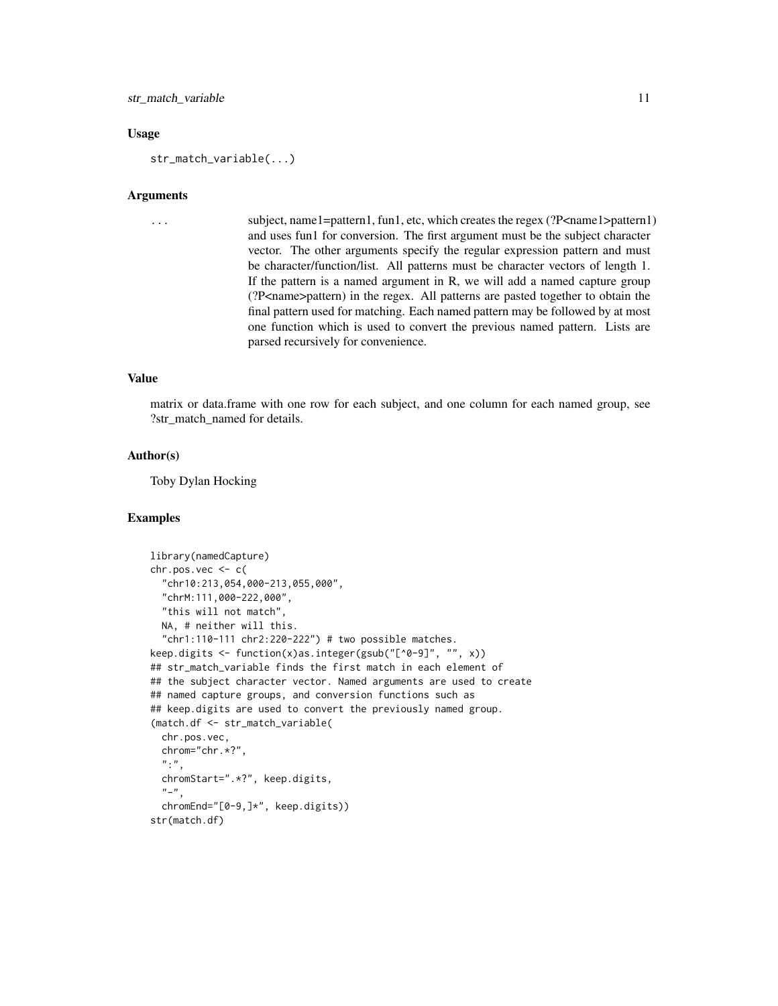#### str\_match\_variable 11

#### Usage

str\_match\_variable(...)

#### Arguments

```
... subject, name1=pattern1, fun1, etc, which creates the regex (?P<name1>pattern1)
                  and uses fun1 for conversion. The first argument must be the subject character
                  vector. The other arguments specify the regular expression pattern and must
                  be character/function/list. All patterns must be character vectors of length 1.
                  If the pattern is a named argument in R, we will add a named capture group
                  (?P<name>pattern) in the regex. All patterns are pasted together to obtain the
                  final pattern used for matching. Each named pattern may be followed by at most
                  one function which is used to convert the previous named pattern. Lists are
                  parsed recursively for convenience.
```
#### Value

matrix or data.frame with one row for each subject, and one column for each named group, see ?str\_match\_named for details.

#### Author(s)

Toby Dylan Hocking

#### Examples

```
library(namedCapture)
chr.pos.vec < -c(
  "chr10:213,054,000-213,055,000",
  "chrM:111,000-222,000",
  "this will not match",
 NA, # neither will this.
 "chr1:110-111 chr2:220-222") # two possible matches.
keep.digits <- function(x)as.integer(gsub("[^0-9]", "", x))
## str_match_variable finds the first match in each element of
## the subject character vector. Named arguments are used to create
## named capture groups, and conversion functions such as
## keep.digits are used to convert the previously named group.
(match.df <- str_match_variable(
 chr.pos.vec,
 chrom="chr.*?",
  ":",
 chromStart=".*?", keep.digits,
  "-",
 chromEnd="[0-9,]*", keep.digits))
str(match.df)
```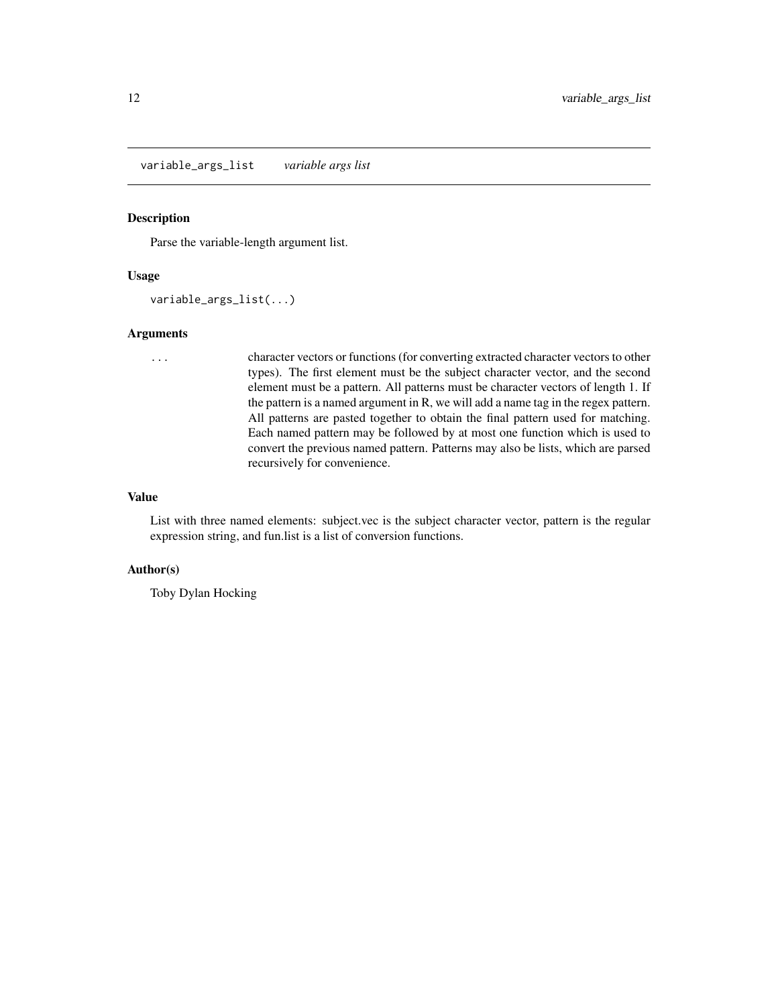<span id="page-11-0"></span>variable\_args\_list *variable args list*

#### Description

Parse the variable-length argument list.

#### Usage

variable\_args\_list(...)

#### Arguments

... character vectors or functions (for converting extracted character vectors to other types). The first element must be the subject character vector, and the second element must be a pattern. All patterns must be character vectors of length 1. If the pattern is a named argument in R, we will add a name tag in the regex pattern. All patterns are pasted together to obtain the final pattern used for matching. Each named pattern may be followed by at most one function which is used to convert the previous named pattern. Patterns may also be lists, which are parsed recursively for convenience.

#### Value

List with three named elements: subject.vec is the subject character vector, pattern is the regular expression string, and fun.list is a list of conversion functions.

#### Author(s)